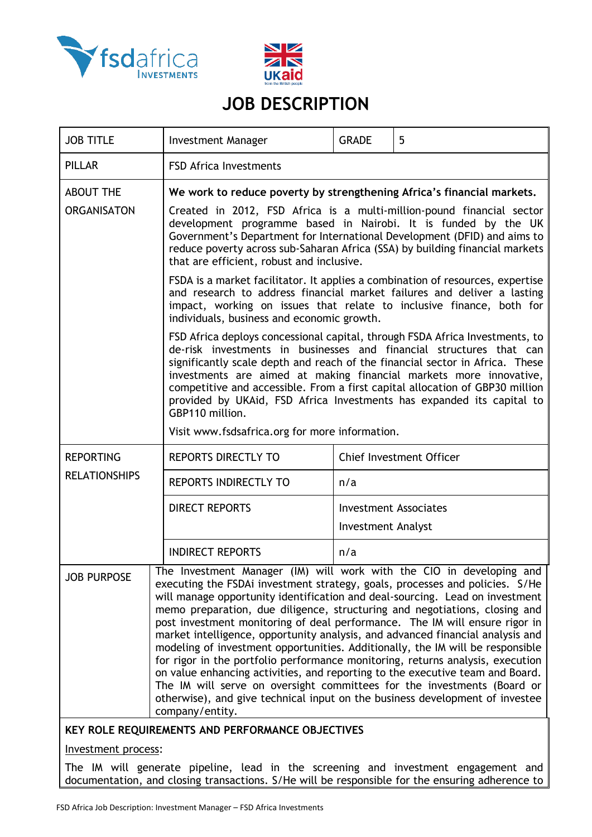



# **JOB DESCRIPTION**

| <b>JOB TITLE</b>                                 |                                                                                                                                                                                                                                                                                                                                                                                                                                                                    | <b>Investment Manager</b>                                                                                                                                                                                                                                                                                                                                                                                                                                                                                                                                                                                                                                                                                                                                                                                                                                                                                              | <b>GRADE</b>              | 5                               |  |  |
|--------------------------------------------------|--------------------------------------------------------------------------------------------------------------------------------------------------------------------------------------------------------------------------------------------------------------------------------------------------------------------------------------------------------------------------------------------------------------------------------------------------------------------|------------------------------------------------------------------------------------------------------------------------------------------------------------------------------------------------------------------------------------------------------------------------------------------------------------------------------------------------------------------------------------------------------------------------------------------------------------------------------------------------------------------------------------------------------------------------------------------------------------------------------------------------------------------------------------------------------------------------------------------------------------------------------------------------------------------------------------------------------------------------------------------------------------------------|---------------------------|---------------------------------|--|--|
| <b>PILLAR</b>                                    |                                                                                                                                                                                                                                                                                                                                                                                                                                                                    | <b>FSD Africa Investments</b>                                                                                                                                                                                                                                                                                                                                                                                                                                                                                                                                                                                                                                                                                                                                                                                                                                                                                          |                           |                                 |  |  |
| <b>ABOUT THE</b>                                 |                                                                                                                                                                                                                                                                                                                                                                                                                                                                    | We work to reduce poverty by strengthening Africa's financial markets.                                                                                                                                                                                                                                                                                                                                                                                                                                                                                                                                                                                                                                                                                                                                                                                                                                                 |                           |                                 |  |  |
| <b>ORGANISATON</b>                               |                                                                                                                                                                                                                                                                                                                                                                                                                                                                    | Created in 2012, FSD Africa is a multi-million-pound financial sector<br>development programme based in Nairobi. It is funded by the UK<br>Government's Department for International Development (DFID) and aims to<br>reduce poverty across sub-Saharan Africa (SSA) by building financial markets<br>that are efficient, robust and inclusive.                                                                                                                                                                                                                                                                                                                                                                                                                                                                                                                                                                       |                           |                                 |  |  |
|                                                  |                                                                                                                                                                                                                                                                                                                                                                                                                                                                    | FSDA is a market facilitator. It applies a combination of resources, expertise<br>and research to address financial market failures and deliver a lasting<br>impact, working on issues that relate to inclusive finance, both for<br>individuals, business and economic growth.                                                                                                                                                                                                                                                                                                                                                                                                                                                                                                                                                                                                                                        |                           |                                 |  |  |
|                                                  | FSD Africa deploys concessional capital, through FSDA Africa Investments, to<br>de-risk investments in businesses and financial structures that can<br>significantly scale depth and reach of the financial sector in Africa. These<br>investments are aimed at making financial markets more innovative,<br>competitive and accessible. From a first capital allocation of GBP30 million<br>provided by UKAid, FSD Africa Investments has expanded its capital to |                                                                                                                                                                                                                                                                                                                                                                                                                                                                                                                                                                                                                                                                                                                                                                                                                                                                                                                        |                           |                                 |  |  |
|                                                  |                                                                                                                                                                                                                                                                                                                                                                                                                                                                    | Visit www.fsdsafrica.org for more information.                                                                                                                                                                                                                                                                                                                                                                                                                                                                                                                                                                                                                                                                                                                                                                                                                                                                         |                           |                                 |  |  |
| <b>REPORTING</b>                                 |                                                                                                                                                                                                                                                                                                                                                                                                                                                                    | <b>REPORTS DIRECTLY TO</b>                                                                                                                                                                                                                                                                                                                                                                                                                                                                                                                                                                                                                                                                                                                                                                                                                                                                                             |                           | <b>Chief Investment Officer</b> |  |  |
| <b>RELATIONSHIPS</b>                             |                                                                                                                                                                                                                                                                                                                                                                                                                                                                    | <b>REPORTS INDIRECTLY TO</b>                                                                                                                                                                                                                                                                                                                                                                                                                                                                                                                                                                                                                                                                                                                                                                                                                                                                                           | n/a                       |                                 |  |  |
|                                                  |                                                                                                                                                                                                                                                                                                                                                                                                                                                                    | <b>DIRECT REPORTS</b>                                                                                                                                                                                                                                                                                                                                                                                                                                                                                                                                                                                                                                                                                                                                                                                                                                                                                                  |                           | Investment Associates           |  |  |
|                                                  |                                                                                                                                                                                                                                                                                                                                                                                                                                                                    |                                                                                                                                                                                                                                                                                                                                                                                                                                                                                                                                                                                                                                                                                                                                                                                                                                                                                                                        | <b>Investment Analyst</b> |                                 |  |  |
|                                                  |                                                                                                                                                                                                                                                                                                                                                                                                                                                                    | <b>INDIRECT REPORTS</b>                                                                                                                                                                                                                                                                                                                                                                                                                                                                                                                                                                                                                                                                                                                                                                                                                                                                                                | n/a                       |                                 |  |  |
| <b>JOB PURPOSE</b>                               |                                                                                                                                                                                                                                                                                                                                                                                                                                                                    | The Investment Manager (IM) will work with the CIO in developing and<br>executing the FSDAi investment strategy, goals, processes and policies. S/He<br>will manage opportunity identification and deal-sourcing. Lead on investment<br>memo preparation, due diligence, structuring and negotiations, closing and<br>post investment monitoring of deal performance. The IM will ensure rigor in<br>market intelligence, opportunity analysis, and advanced financial analysis and<br>modeling of investment opportunities. Additionally, the IM will be responsible<br>for rigor in the portfolio performance monitoring, returns analysis, execution<br>on value enhancing activities, and reporting to the executive team and Board.<br>The IM will serve on oversight committees for the investments (Board or<br>otherwise), and give technical input on the business development of investee<br>company/entity. |                           |                                 |  |  |
| KEY ROLE REQUIREMENTS AND PERFORMANCE OBJECTIVES |                                                                                                                                                                                                                                                                                                                                                                                                                                                                    |                                                                                                                                                                                                                                                                                                                                                                                                                                                                                                                                                                                                                                                                                                                                                                                                                                                                                                                        |                           |                                 |  |  |

### Investment process:

The IM will generate pipeline, lead in the screening and investment engagement and documentation, and closing transactions. S/He will be responsible for the ensuring adherence to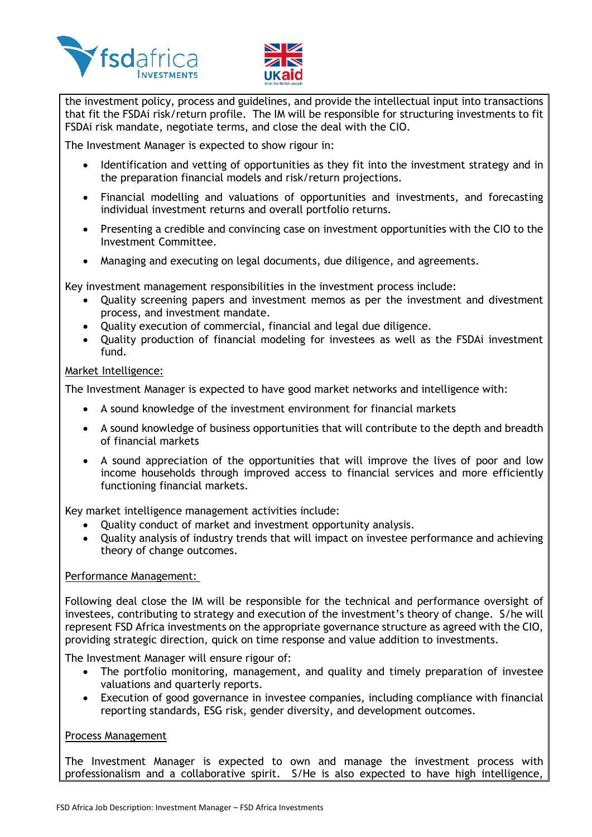



the investment policy, process and guidelines, and provide the intellectual input into transactions that fit the FSDAi risk/return profile. The IM will be responsible for structuring investments to fit FSDAi risk mandate, negotiate terms, and close the deal with the CIO.

The Investment Manager is expected to show rigour in:

- Identification and vetting of opportunities as they fit into the investment strategy and in the preparation financial models and risk/return projections.
- Financial modelling and valuations of opportunities and investments, and forecasting individual investment returns and overall portfolio returns.
- Presenting a credible and convincing case on investment opportunities with the CIO to the Investment Committee.
- Managing and executing on legal documents, due diligence, and agreements.

Key investment management responsibilities in the investment process include:

- Quality screening papers and investment memos as per the investment and divestment process, and investment mandate.
- Quality execution of commercial, financial and legal due diligence.
- Quality production of financial modeling for investees as well as the FSDAi investment fund.

# Market Intelligence:

The Investment Manager is expected to have good market networks and intelligence with:

- A sound knowledge of the investment environment for financial markets
- A sound knowledge of business opportunities that will contribute to the depth and breadth of financial markets
- A sound appreciation of the opportunities that will improve the lives of poor and low income households through improved access to financial services and more efficiently functioning financial markets.

Key market intelligence management activities include:

- Quality conduct of market and investment opportunity analysis.
- Quality analysis of industry trends that will impact on investee performance and achieving theory of change outcomes.

### Performance Management:

Following deal close the IM will be responsible for the technical and performance oversight of investees, contributing to strategy and execution of the investment's theory of change. S/he will represent FSD Africa investments on the appropriate governance structure as agreed with the CIO, providing strategic direction, quick on time response and value addition to investments.

The Investment Manager will ensure rigour of:

- The portfolio monitoring, management, and quality and timely preparation of investee valuations and quarterly reports.
- Execution of good governance in investee companies, including compliance with financial reporting standards, ESG risk, gender diversity, and development outcomes.

### Process Management

The Investment Manager is expected to own and manage the investment process with professionalism and a collaborative spirit. S/He is also expected to have high intelligence,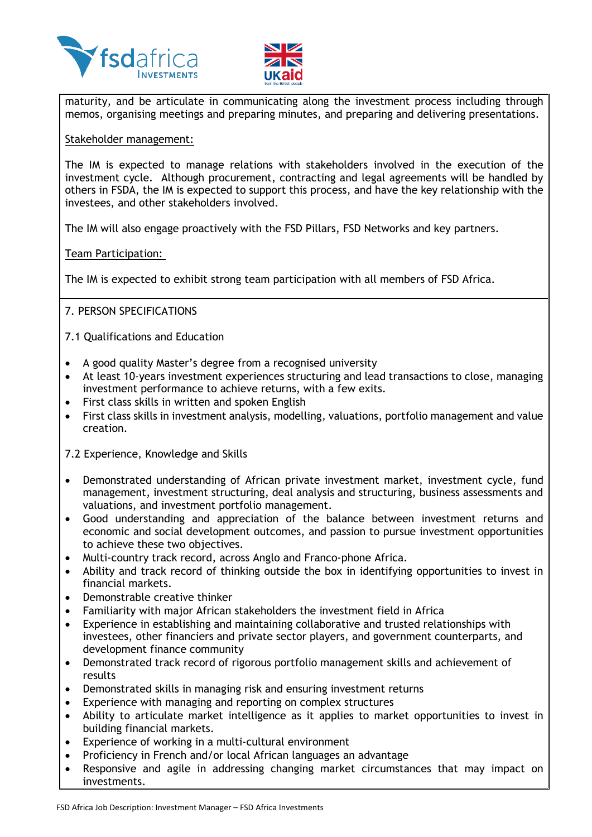



maturity, and be articulate in communicating along the investment process including through memos, organising meetings and preparing minutes, and preparing and delivering presentations.

#### Stakeholder management:

The IM is expected to manage relations with stakeholders involved in the execution of the investment cycle. Although procurement, contracting and legal agreements will be handled by others in FSDA, the IM is expected to support this process, and have the key relationship with the investees, and other stakeholders involved.

The IM will also engage proactively with the FSD Pillars, FSD Networks and key partners.

### Team Participation:

The IM is expected to exhibit strong team participation with all members of FSD Africa.

# 7. PERSON SPECIFICATIONS

7.1 Qualifications and Education

- A good quality Master's degree from a recognised university
- At least 10-years investment experiences structuring and lead transactions to close, managing investment performance to achieve returns, with a few exits.
- First class skills in written and spoken English
- First class skills in investment analysis, modelling, valuations, portfolio management and value creation.

7.2 Experience, Knowledge and Skills

- Demonstrated understanding of African private investment market, investment cycle, fund management, investment structuring, deal analysis and structuring, business assessments and valuations, and investment portfolio management.
- Good understanding and appreciation of the balance between investment returns and economic and social development outcomes, and passion to pursue investment opportunities to achieve these two objectives.
- Multi-country track record, across Anglo and Franco-phone Africa.
- Ability and track record of thinking outside the box in identifying opportunities to invest in financial markets.
- Demonstrable creative thinker
- Familiarity with major African stakeholders the investment field in Africa
- Experience in establishing and maintaining collaborative and trusted relationships with investees, other financiers and private sector players, and government counterparts, and development finance community
- Demonstrated track record of rigorous portfolio management skills and achievement of results
- Demonstrated skills in managing risk and ensuring investment returns
- Experience with managing and reporting on complex structures
- Ability to articulate market intelligence as it applies to market opportunities to invest in building financial markets.
- Experience of working in a multi-cultural environment
- Proficiency in French and/or local African languages an advantage
- Responsive and agile in addressing changing market circumstances that may impact on investments.